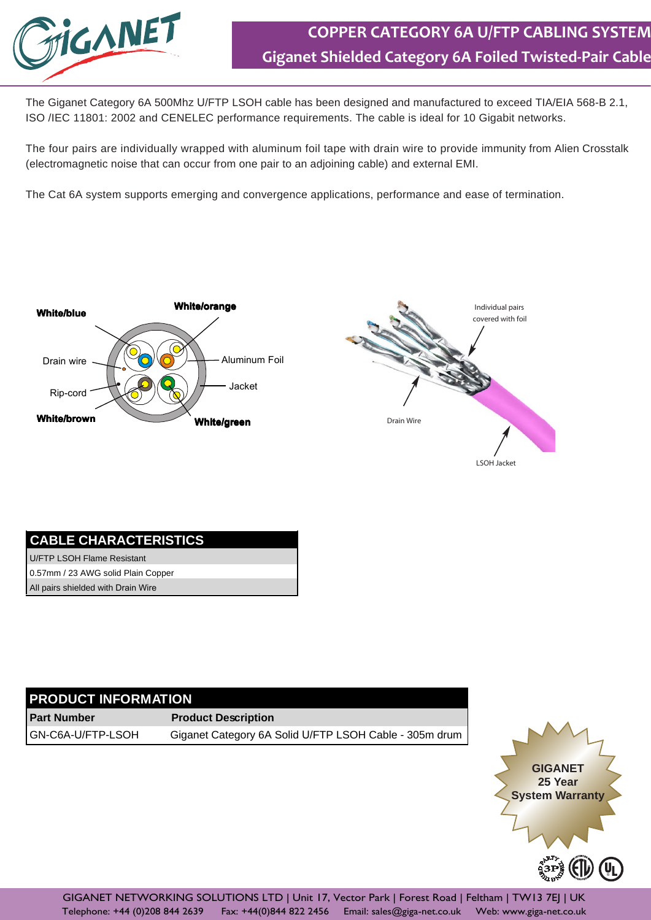

The Giganet Category 6A 500Mhz U/FTP LSOH cable has been designed and manufactured to exceed TIA/EIA 568-B 2.1, ISO /IEC 11801: 2002 and CENELEC performance requirements. The cable is ideal for 10 Gigabit networks.

The four pairs are individually wrapped with aluminum foil tape with drain wire to provide immunity from Alien Crosstalk (electromagnetic noise that can occur from one pair to an adjoining cable) and external EMI.

The Cat 6A system supports emerging and convergence applications, performance and ease of termination.





## **CABLE CHARACTERISTICS**

U/FTP LSOH Flame Resistant 0.57mm / 23 AWG solid Plain Copper All pairs shielded with Drain Wire

## **PRODUCT INFORMATION**

**Part Number** GN-C6A-U/FTP-LSOH **Product Description** Giganet Category 6A Solid U/FTP LSOH Cable - 305m drum